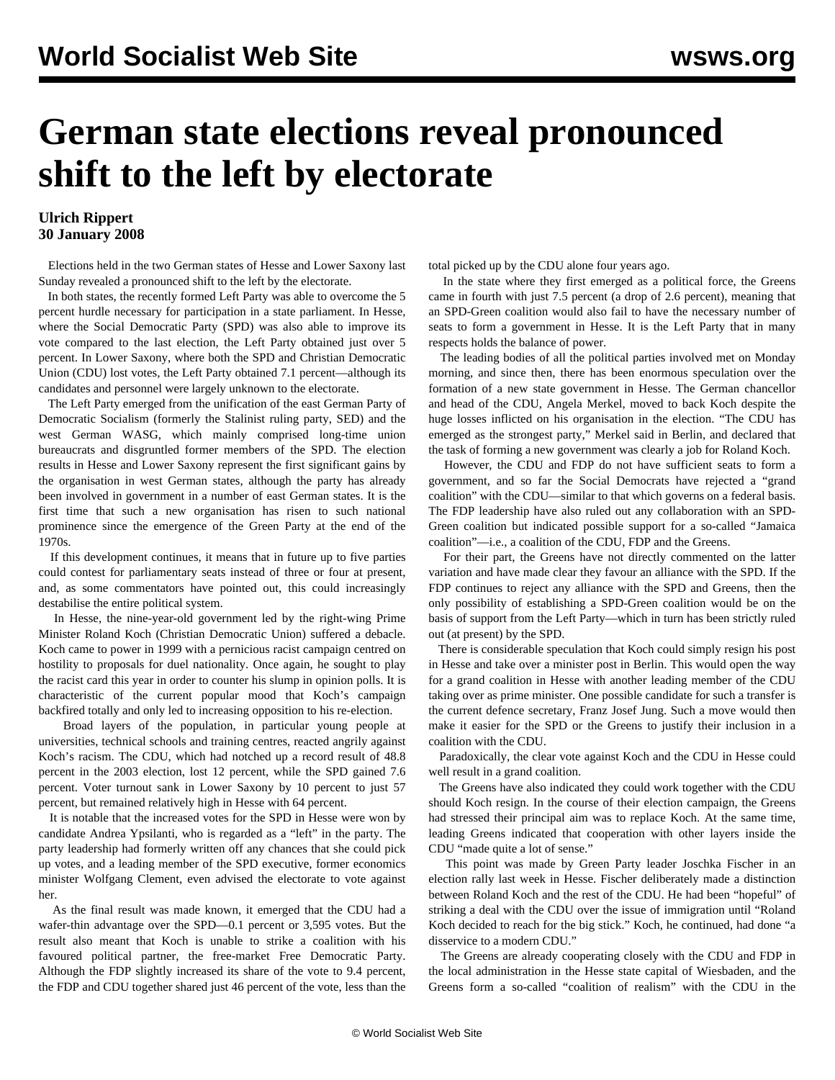## **German state elections reveal pronounced shift to the left by electorate**

## **Ulrich Rippert 30 January 2008**

 Elections held in the two German states of Hesse and Lower Saxony last Sunday revealed a pronounced shift to the left by the electorate.

 In both states, the recently formed Left Party was able to overcome the 5 percent hurdle necessary for participation in a state parliament. In Hesse, where the Social Democratic Party (SPD) was also able to improve its vote compared to the last election, the Left Party obtained just over 5 percent. In Lower Saxony, where both the SPD and Christian Democratic Union (CDU) lost votes, the Left Party obtained 7.1 percent—although its candidates and personnel were largely unknown to the electorate.

 The Left Party emerged from the unification of the east German Party of Democratic Socialism (formerly the Stalinist ruling party, SED) and the west German WASG, which mainly comprised long-time union bureaucrats and disgruntled former members of the SPD. The election results in Hesse and Lower Saxony represent the first significant gains by the organisation in west German states, although the party has already been involved in government in a number of east German states. It is the first time that such a new organisation has risen to such national prominence since the emergence of the Green Party at the end of the 1970s.

 If this development continues, it means that in future up to five parties could contest for parliamentary seats instead of three or four at present, and, as some commentators have pointed out, this could increasingly destabilise the entire political system.

 In Hesse, the nine-year-old government led by the right-wing Prime Minister Roland Koch (Christian Democratic Union) suffered a debacle. Koch came to power in 1999 with a pernicious racist campaign centred on hostility to proposals for duel nationality. Once again, he sought to play the racist card this year in order to counter his slump in opinion polls. It is characteristic of the current popular mood that Koch's campaign backfired totally and only led to increasing opposition to his re-election.

 Broad layers of the population, in particular young people at universities, technical schools and training centres, reacted angrily against Koch's racism. The CDU, which had notched up a record result of 48.8 percent in the 2003 election, lost 12 percent, while the SPD gained 7.6 percent. Voter turnout sank in Lower Saxony by 10 percent to just 57 percent, but remained relatively high in Hesse with 64 percent.

 It is notable that the increased votes for the SPD in Hesse were won by candidate Andrea Ypsilanti, who is regarded as a "left" in the party. The party leadership had formerly written off any chances that she could pick up votes, and a leading member of the SPD executive, former economics minister Wolfgang Clement, even advised the electorate to vote against her.

 As the final result was made known, it emerged that the CDU had a wafer-thin advantage over the SPD—0.1 percent or 3,595 votes. But the result also meant that Koch is unable to strike a coalition with his favoured political partner, the free-market Free Democratic Party. Although the FDP slightly increased its share of the vote to 9.4 percent, the FDP and CDU together shared just 46 percent of the vote, less than the

total picked up by the CDU alone four years ago.

 In the state where they first emerged as a political force, the Greens came in fourth with just 7.5 percent (a drop of 2.6 percent), meaning that an SPD-Green coalition would also fail to have the necessary number of seats to form a government in Hesse. It is the Left Party that in many respects holds the balance of power.

 The leading bodies of all the political parties involved met on Monday morning, and since then, there has been enormous speculation over the formation of a new state government in Hesse. The German chancellor and head of the CDU, Angela Merkel, moved to back Koch despite the huge losses inflicted on his organisation in the election. "The CDU has emerged as the strongest party," Merkel said in Berlin, and declared that the task of forming a new government was clearly a job for Roland Koch.

 However, the CDU and FDP do not have sufficient seats to form a government, and so far the Social Democrats have rejected a "grand coalition" with the CDU—similar to that which governs on a federal basis. The FDP leadership have also ruled out any collaboration with an SPD-Green coalition but indicated possible support for a so-called "Jamaica coalition"—i.e., a coalition of the CDU, FDP and the Greens.

 For their part, the Greens have not directly commented on the latter variation and have made clear they favour an alliance with the SPD. If the FDP continues to reject any alliance with the SPD and Greens, then the only possibility of establishing a SPD-Green coalition would be on the basis of support from the Left Party—which in turn has been strictly ruled out (at present) by the SPD.

 There is considerable speculation that Koch could simply resign his post in Hesse and take over a minister post in Berlin. This would open the way for a grand coalition in Hesse with another leading member of the CDU taking over as prime minister. One possible candidate for such a transfer is the current defence secretary, Franz Josef Jung. Such a move would then make it easier for the SPD or the Greens to justify their inclusion in a coalition with the CDU.

 Paradoxically, the clear vote against Koch and the CDU in Hesse could well result in a grand coalition.

 The Greens have also indicated they could work together with the CDU should Koch resign. In the course of their election campaign, the Greens had stressed their principal aim was to replace Koch. At the same time, leading Greens indicated that cooperation with other layers inside the CDU "made quite a lot of sense."

 This point was made by Green Party leader Joschka Fischer in an election rally last week in Hesse. Fischer deliberately made a distinction between Roland Koch and the rest of the CDU. He had been "hopeful" of striking a deal with the CDU over the issue of immigration until "Roland Koch decided to reach for the big stick." Koch, he continued, had done "a disservice to a modern CDU."

 The Greens are already cooperating closely with the CDU and FDP in the local administration in the Hesse state capital of Wiesbaden, and the Greens form a so-called "coalition of realism" with the CDU in the